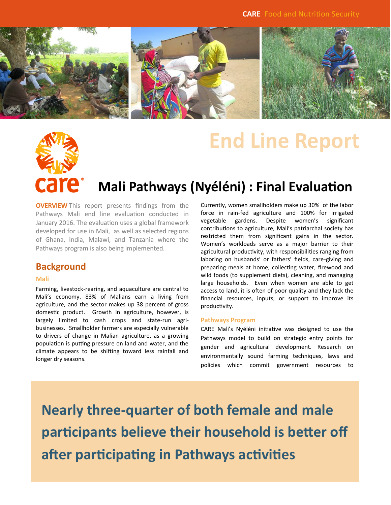

# **End Line Report**



# **Mali Pathways (Nyéléni) : Final Evaluation**

**OVERVIEW** This report presents findings from the Pathways Mali end line evaluation conducted in January 2016. The evaluation uses a global framework developed for use in Mali, as well as selected regions of Ghana, India, Malawi, and Tanzania where the Pathways program is also being implemented.

### **Background**

#### **Mali**

Farming, livestock-rearing, and aquaculture are central to Mali's economy. 83% of Malians earn a living from agriculture, and the sector makes up 38 percent of gross domestic product. Growth in agriculture, however, is largely limited to cash crops and state-run agribusinesses. Smallholder farmers are especially vulnerable to drivers of change in Malian agriculture, as a growing population is putting pressure on land and water, and the climate appears to be shifting toward less rainfall and longer dry seasons.

Currently, women smallholders make up 30% of the labor force in rain-fed agriculture and 100% for irrigated vegetable gardens. Despite women's significant contributions to agriculture, Mali's patriarchal society has restricted them from significant gains in the sector. Women's workloads serve as a major barrier to their agricultural productivity, with responsibilities ranging from laboring on husbands' or fathers' fields, care-giving and preparing meals at home, collecting water, firewood and wild foods (to supplement diets), cleaning, and managing large households. Even when women are able to get access to land, it is often of poor quality and they lack the financial resources, inputs, or support to improve its productivity.

#### **Pathways Program**

CARE Mali's Nyéléni initiative was designed to use the Pathways model to build on strategic entry points for gender and agricultural development. Research on environmentally sound farming techniques, laws and policies which commit government resources to

**Nearly three-quarter of both female and male participants believe their household is better off after participating in Pathways activities**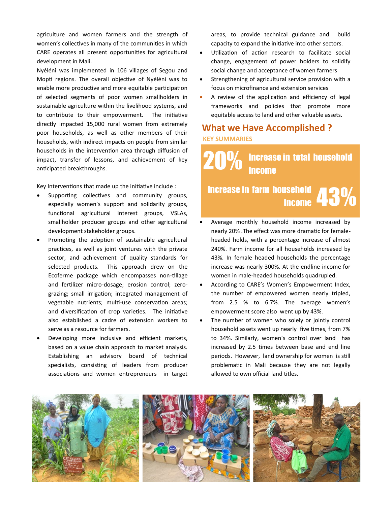agriculture and women farmers and the strength of women's collectives in many of the communities in which CARE operates all present opportunities for agricultural development in Mali.

Nyéléni was implemented in 106 villages of Segou and Mopti regions. The overall objective of Nyéléni was to enable more productive and more equitable participation of selected segments of poor women smallholders in sustainable agriculture within the livelihood systems, and to contribute to their empowerment. The initiative directly impacted 15,000 rural women from extremely poor households, as well as other members of their households, with indirect impacts on people from similar households in the intervention area through diffusion of impact, transfer of lessons, and achievement of key anticipated breakthroughs.

Key Interventions that made up the initiative include :

- Supporting collectives and community groups, especially women's support and solidarity groups, functional agricultural interest groups, VSLAs, smallholder producer groups and other agricultural development stakeholder groups.
- Promoting the adoption of sustainable agricultural practices, as well as joint ventures with the private sector, and achievement of quality standards for selected products. This approach drew on the Ecoferme package which encompasses non-tillage and fertilizer micro-dosage; erosion control; zerograzing; small irrigation; integrated management of vegetable nutrients; multi-use conservation areas; and diversification of crop varieties. The initiative also established a cadre of extension workers to serve as a resource for farmers.
- Developing more inclusive and efficient markets, based on a value chain approach to market analysis. Establishing an advisory board of technical specialists, consisting of leaders from producer associations and women entrepreneurs in target

areas, to provide technical guidance and build capacity to expand the initiative into other sectors.

- Utilization of action research to facilitate social change, engagement of power holders to solidify social change and acceptance of women farmers
- Strengthening of agricultural service provision with a focus on microfinance and extension services
- A review of the application and efficiency of legal frameworks and policies that promote more equitable access to land and other valuable assets.

# **What we Have Accomplished ? KEY SUMMARIES**

20% Increase in total household **Income** 

# <sup>Isehold</sup> 43% Increase in farm household

- Average monthly household income increased by nearly 20% .The effect was more dramatic for femaleheaded holds, with a percentage increase of almost 240%. Farm income for all households increased by 43%. In female headed households the percentage increase was nearly 300%. At the endline income for women in male-headed households quadrupled.
- According to CARE's Women's Empowerment Index, the number of empowered women nearly tripled, from 2.5 % to 6.7%. The average women's empowerment score also went up by 43%.
- The number of women who solely or jointly control household assets went up nearly five times, from 7% to 34%. Similarly, women's control over land has increased by 2.5 times between base and end line periods. However, land ownership for women is still problematic in Mali because they are not legally allowed to own official land titles.